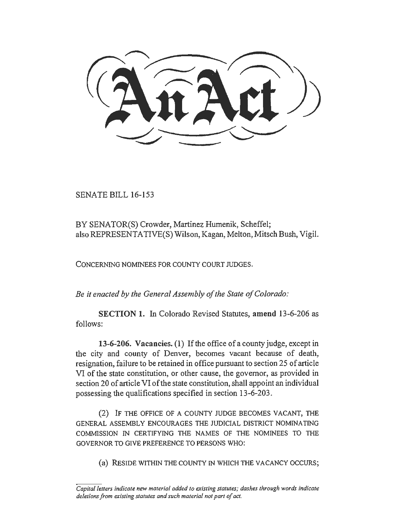SENATE BILL 16-153

BY SENATOR(S) Crowder, Martinez Humenik, Scheffel; also REPRESENTATIVE(S) Wilson, Kagan, Melton, Mitsch Bush, Vigil.

CONCERNING NOMINEES FOR COUNTY COURT JUDGES.

*Be it enacted by the General Assembly of the State of Colorado:* 

SECTION 1. In Colorado Revised Statutes, amend 13-6-206 as follows:

13-6-206. Vacancies. (1) If the office of a county judge, except in the city and county of Denver, becomes vacant because of death, resignation, failure to be retained in office pursuant to section 25 of article VI of the state constitution, or other cause, the governor, as provided in section 20 of article VI of the state constitution, shall appoint an individual possessing the qualifications specified in section 13-6-203.

(2) IF THE OFFICE OF A COUNTY JUDGE BECOMES VACANT, THE GENERAL ASSEMBLY ENCOURAGES THE JUDICIAL DISTRICT NOMINATING COMMISSION IN CERTIFYING THE NAMES OF THE NOMINEES TO THE GOVERNOR TO GIVE PREFERENCE TO PERSONS WHO:

(a) RESIDE WITHIN THE COUNTY IN WHICH THE VACANCY OCCURS;

*Capital letters indicate new material added to existing statutes; dashes through words indicate deletions from existing statutes and such material not part of act.*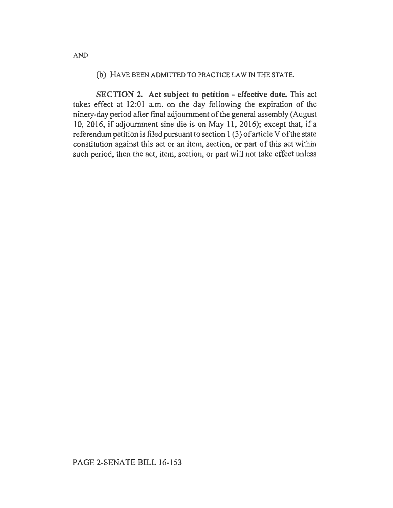## (b) HAVE BEEN ADMITTED TO PRACTICE LAW IN THE STATE.

SECTION 2. Act subject to petition - effective date. This act takes effect at 12:01 a.m. on the day following the expiration of the ninety-day period after final adjournment of the general assembly (August 10, 2016, if adjournment sine die is on May 11, 2016); except that, if a referendum petition is filed pursuant to section 1 (3) of article V of the state constitution against this act or an item, section, or part of this act within such period, then the act, item, section, or part will not take effect unless

AND